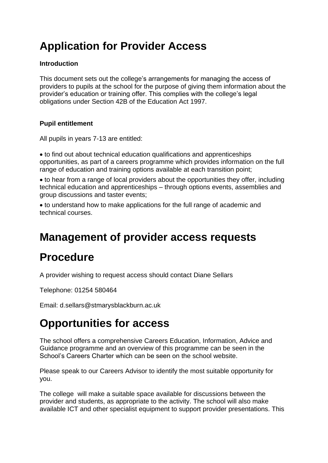# **Application for Provider Access**

#### **Introduction**

This document sets out the college's arrangements for managing the access of providers to pupils at the school for the purpose of giving them information about the provider's education or training offer. This complies with the college's legal obligations under Section 42B of the Education Act 1997.

#### **Pupil entitlement**

All pupils in years 7-13 are entitled:

 to find out about technical education qualifications and apprenticeships opportunities, as part of a careers programme which provides information on the full range of education and training options available at each transition point;

 to hear from a range of local providers about the opportunities they offer, including technical education and apprenticeships – through options events, assemblies and group discussions and taster events;

 to understand how to make applications for the full range of academic and technical courses.

## **Management of provider access requests**

## **Procedure**

A provider wishing to request access should contact Diane Sellars

Telephone: 01254 580464

Email: d.sellars@stmarysblackburn.ac.uk

### **Opportunities for access**

The school offers a comprehensive Careers Education, Information, Advice and Guidance programme and an overview of this programme can be seen in the School's Careers Charter which can be seen on the school website.

Please speak to our Careers Advisor to identify the most suitable opportunity for you.

The college will make a suitable space available for discussions between the provider and students, as appropriate to the activity. The school will also make available ICT and other specialist equipment to support provider presentations. This